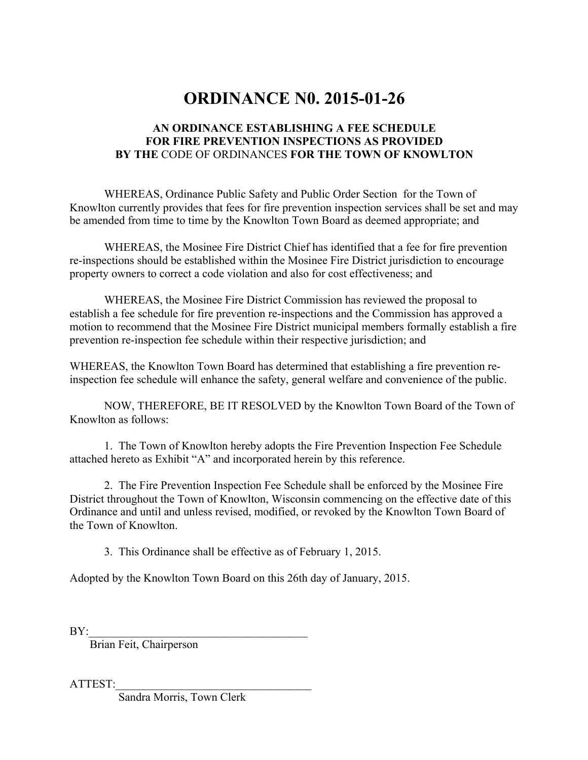## **ORDINANCE N0. 2015-01-26**

## **AN ORDINANCE ESTABLISHING A FEE SCHEDULE FOR FIRE PREVENTION INSPECTIONS AS PROVIDED BY THE** CODE OF ORDINANCES **FOR THE TOWN OF KNOWLTON**

WHEREAS, Ordinance Public Safety and Public Order Section for the Town of Knowlton currently provides that fees for fire prevention inspection services shall be set and may be amended from time to time by the Knowlton Town Board as deemed appropriate; and

WHEREAS, the Mosinee Fire District Chief has identified that a fee for fire prevention re-inspections should be established within the Mosinee Fire District jurisdiction to encourage property owners to correct a code violation and also for cost effectiveness; and

WHEREAS, the Mosinee Fire District Commission has reviewed the proposal to establish a fee schedule for fire prevention re-inspections and the Commission has approved a motion to recommend that the Mosinee Fire District municipal members formally establish a fire prevention re-inspection fee schedule within their respective jurisdiction; and

WHEREAS, the Knowlton Town Board has determined that establishing a fire prevention reinspection fee schedule will enhance the safety, general welfare and convenience of the public.

NOW, THEREFORE, BE IT RESOLVED by the Knowlton Town Board of the Town of Knowlton as follows:

1. The Town of Knowlton hereby adopts the Fire Prevention Inspection Fee Schedule attached hereto as Exhibit "A" and incorporated herein by this reference.

2. The Fire Prevention Inspection Fee Schedule shall be enforced by the Mosinee Fire District throughout the Town of Knowlton, Wisconsin commencing on the effective date of this Ordinance and until and unless revised, modified, or revoked by the Knowlton Town Board of the Town of Knowlton.

3. This Ordinance shall be effective as of February 1, 2015.

Adopted by the Knowlton Town Board on this 26th day of January, 2015.

 $BY:$ 

Brian Feit, Chairperson

ATTEST:\_\_\_\_\_\_\_\_\_\_\_\_\_\_\_\_\_\_\_\_\_\_\_\_\_\_\_\_\_\_\_\_\_\_

Sandra Morris, Town Clerk